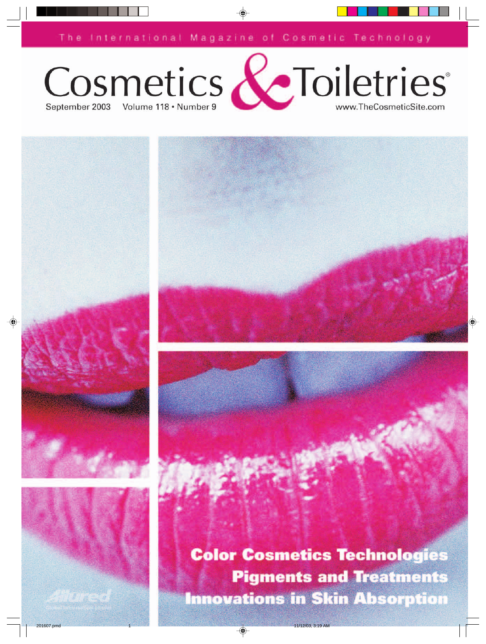The International Magazine of Cosmetic Technology





**Color Cosmetics Technologies Pigments and Treatments Innovations in Skin Absorption**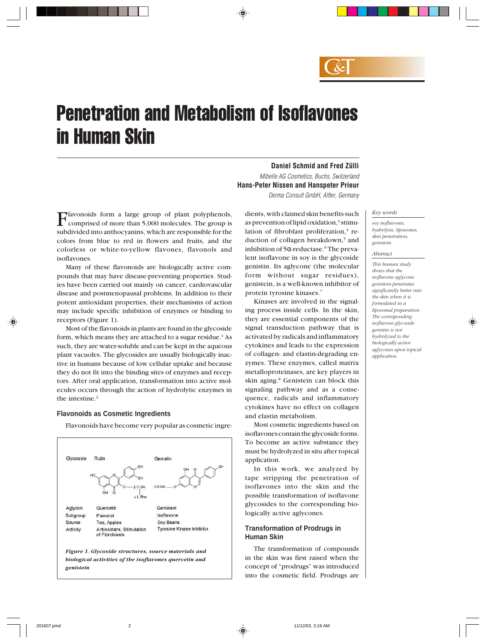

# Penetration and Metabolism of Isoflavones in Human Skin

Mibelle AG Cosmetics, Buchs, Switzerland **Hans-Peter Nissen and Hanspeter Prieur** Derma Consult GmbH, Alfter, Germany

Flavonoids form a large group of plant polyphenols, comprised of more than 5,000 molecules. The group is subdivided into anthocyanins, which are responsible for the colors from blue to red in flowers and fruits, and the colorless or white-to-yellow flavones, flavonols and isoflavones.

Many of these flavonoids are biologically active compounds that may have disease-preventing properties. Studies have been carried out mainly on cancer, cardiovascular disease and postmenopausal problems. In addition to their potent antioxidant properties, their mechanisms of action may include specific inhibition of enzymes or binding to receptors (Figure 1).

Most of the flavonoids in plants are found in the glycoside form, which means they are attached to a sugar residue.<sup>1</sup> As such, they are water-soluble and can be kept in the aqueous plant vacuoles. The glycosides are usually biologically inactive in humans because of low cellular uptake and because they do not fit into the binding sites of enzymes and receptors. After oral application, transformation into active molecules occurs through the action of hydrolytic enzymes in the intestine.2

### **Flavonoids as Cosmetic Ingredients**

Flavonoids have become very popular as cosmetic ingre-



dients, with claimed skin benefits such as prevention of lipid oxidation, $3$  stimulation of fibroblast proliferation,<sup>4</sup> reduction of collagen breakdown,<sup>5</sup> and inhibition of 5α-reductase.<sup>6</sup> The prevalent isoflavone in soy is the glycoside genistin. Its aglycone (the molecular form without sugar residues), genistein, is a well-known inhibitor of protein tyrosine kinases.7

**Daniel Schmid and Fred Zülli**

Kinases are involved in the signaling process inside cells. In the skin, they are essential components of the signal transduction pathway that is activated by radicals and inflammatory cytokines and leads to the expression of collagen- and elastin-degrading enzymes. These enzymes, called matrix metalloproteinases, are key players in skin aging.8 Genistein can block this signaling pathway and as a consequence, radicals and inflammatory cytokines have no effect on collagen and elastin metabolism.

Most cosmetic ingredients based on isoflavones contain the glycoside forms. To become an active substance they must be hydrolyzed in situ after topical application.

In this work, we analyzed by tape stripping the penetration of isoflavones into the skin and the possible transformation of isoflavone glycosides to the corresponding biologically active aglycones.

## **Transformation of Prodrugs in Human Skin**

The transformation of compounds in the skin was first raised when the concept of "prodrugs" was introduced into the cosmetic field. Prodrugs are

#### *Key words*

*soy isoflavones, hydrolysis, liposomes, skin penetration, genistein*

#### *Abstract*

*This human study shows that the isoflavone aglycone genistein penetrates significantly better into the skin when it is formulated in a liposomal preparation. The corresponding isoflavone glycoside genistin is not hydrolyzed to the biologically active aglycones upon topical application.*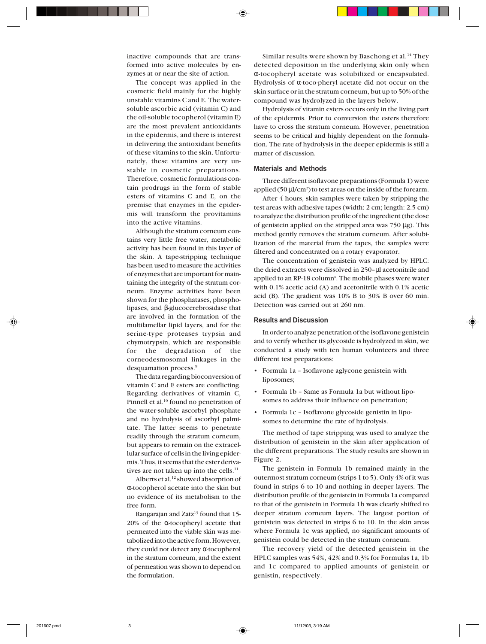inactive compounds that are transformed into active molecules by enzymes at or near the site of action.

The concept was applied in the cosmetic field mainly for the highly unstable vitamins C and E. The watersoluble ascorbic acid (vitamin C) and the oil-soluble tocopherol (vitamin E) are the most prevalent antioxidants in the epidermis, and there is interest in delivering the antioxidant benefits of these vitamins to the skin. Unfortunately, these vitamins are very unstable in cosmetic preparations. Therefore, cosmetic formulations contain prodrugs in the form of stable esters of vitamins C and E, on the premise that enzymes in the epidermis will transform the provitamins into the active vitamins.

Although the stratum corneum contains very little free water, metabolic activity has been found in this layer of the skin. A tape-stripping technique has been used to measure the activities of enzymes that are important for maintaining the integrity of the stratum corneum. Enzyme activities have been shown for the phosphatases, phospholipases, and β-glucocerebrosidase that are involved in the formation of the multilamellar lipid layers, and for the serine-type proteases trypsin and chymotrypsin, which are responsible for the degradation of the corneodesmosomal linkages in the desquamation process.9

The data regarding bioconversion of vitamin C and E esters are conflicting. Regarding derivatives of vitamin C, Pinnell et al.<sup>10</sup> found no penetration of the water-soluble ascorbyl phosphate and no hydrolysis of ascorbyl palmitate. The latter seems to penetrate readily through the stratum corneum, but appears to remain on the extracellular surface of cells in the living epidermis. Thus, it seems that the ester derivatives are not taken up into the cells.<sup>11</sup>

Alberts et al.<sup>12</sup> showed absorption of α-tocopherol acetate into the skin but no evidence of its metabolism to the free form.

Rangarajan and Zatz<sup>13</sup> found that 15-20% of the α-tocopheryl acetate that permeated into the viable skin was metabolized into the active form. However, they could not detect any α-tocopherol in the stratum corneum, and the extent of permeation was shown to depend on the formulation.

Similar results were shown by Baschong et al.<sup>14</sup> They detected deposition in the underlying skin only when α-tocopheryl acetate was solubilized or encapsulated. Hydrolysis of α-toco-pheryl acetate did not occur on the skin surface or in the stratum corneum, but up to 50% of the compound was hydrolyzed in the layers below.

Hydrolysis of vitamin esters occurs only in the living part of the epidermis. Prior to conversion the esters therefore have to cross the stratum corneum. However, penetration seems to be critical and highly dependent on the formulation. The rate of hydrolysis in the deeper epidermis is still a matter of discussion.

## **Materials and Methods**

Three different isoflavone preparations (Formula 1) were applied (50 µl/cm<sup>2</sup>) to test areas on the inside of the forearm.

After 4 hours, skin samples were taken by stripping the test areas with adhesive tapes (width: 2 cm; length: 2.5 cm) to analyze the distribution profile of the ingredient (the dose of genistein applied on the stripped area was  $750 \mu g$ ). This method gently removes the stratum corneum. After solubilization of the material from the tapes, the samples were filtered and concentrated on a rotary evaporator.

The concentration of genistein was analyzed by HPLC: the dried extracts were dissolved in 250–µl acetonitrile and applied to an RP-18 column<sup>a</sup>. The mobile phases were water with 0.1% acetic acid (A) and acetonitrile with 0.1% acetic acid (B). The gradient was 10% B to 30% B over 60 min. Detection was carried out at 260 nm.

### **Results and Discussion**

In order to analyze penetration of the isoflavone genistein and to verify whether its glycoside is hydrolyzed in skin, we conducted a study with ten human volunteers and three different test preparations:

- Formula 1a Isoflavone aglycone genistein with liposomes;
- Formula 1b Same as Formula 1a but without liposomes to address their influence on penetration;
- Formula 1c Isoflavone glycoside genistin in liposomes to determine the rate of hydrolysis.

The method of tape stripping was used to analyze the distribution of genistein in the skin after application of the different preparations. The study results are shown in Figure 2.

The genistein in Formula 1b remained mainly in the outermost stratum corneum (strips 1 to 5). Only 4% of it was found in strips 6 to 10 and nothing in deeper layers. The distribution profile of the genistein in Formula 1a compared to that of the genistein in Formula 1b was clearly shifted to deeper stratum corneum layers. The largest portion of genistein was detected in strips 6 to 10. In the skin areas where Formula 1c was applied, no significant amounts of genistein could be detected in the stratum corneum.

The recovery yield of the detected genistein in the HPLC samples was 54%, 42% and 0.3% for Formulas 1a, 1b and 1c compared to applied amounts of genistein or genistin, respectively.